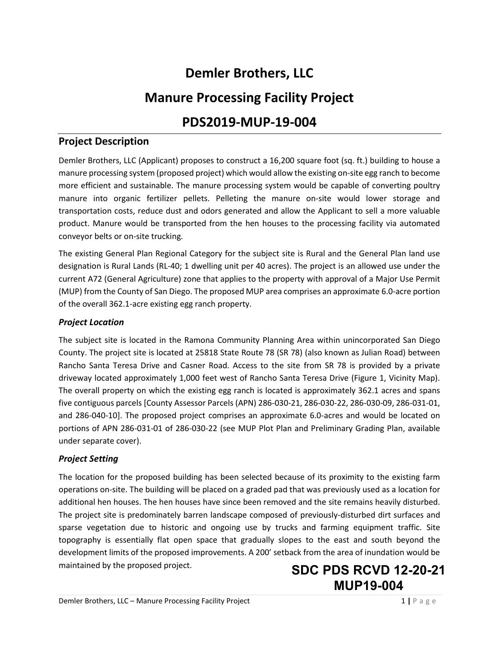# **Demler Brothers, LLC**

## **Manure Processing Facility Project**

## **PDS2019-MUP-19-004**

## **Project Description**

Demler Brothers, LLC (Applicant) proposes to construct a 16,200 square foot (sq. ft.) building to house a manure processing system (proposed project) which would allow the existing on-site egg ranch to become more efficient and sustainable. The manure processing system would be capable of converting poultry manure into organic fertilizer pellets. Pelleting the manure on-site would lower storage and transportation costs, reduce dust and odors generated and allow the Applicant to sell a more valuable product. Manure would be transported from the hen houses to the processing facility via automated conveyor belts or on-site trucking.

The existing General Plan Regional Category for the subject site is Rural and the General Plan land use designation is Rural Lands (RL-40; 1 dwelling unit per 40 acres). The project is an allowed use under the current A72 (General Agriculture) zone that applies to the property with approval of a Major Use Permit (MUP) from the County of San Diego. The proposed MUP area comprises an approximate 6.0-acre portion of the overall 362.1-acre existing egg ranch property.

#### *Project Location*

The subject site is located in the Ramona Community Planning Area within unincorporated San Diego County. The project site is located at 25818 State Route 78 (SR 78) (also known as Julian Road) between Rancho Santa Teresa Drive and Casner Road. Access to the site from SR 78 is provided by a private driveway located approximately 1,000 feet west of Rancho Santa Teresa Drive (Figure 1, Vicinity Map). The overall property on which the existing egg ranch is located is approximately 362.1 acres and spans five contiguous parcels [County Assessor Parcels (APN) 286-030-21, 286-030-22, 286-030-09, 286-031-01, and 286-040-10]. The proposed project comprises an approximate 6.0-acres and would be located on portions of APN 286-031-01 of 286-030-22 (see MUP Plot Plan and Preliminary Grading Plan, available under separate cover).

### *Project Setting*

The location for the proposed building has been selected because of its proximity to the existing farm operations on-site. The building will be placed on a graded pad that was previously used as a location for additional hen houses. The hen houses have since been removed and the site remains heavily disturbed. The project site is predominately barren landscape composed of previously-disturbed dirt surfaces and sparse vegetation due to historic and ongoing use by trucks and farming equipment traffic. Site topography is essentially flat open space that gradually slopes to the east and south beyond the development limits of the proposed improvements. A 200' setback from the area of inundation would be maintained by the proposed project.

## **SDC PDS RCVD 12-20-21 MUP19-004**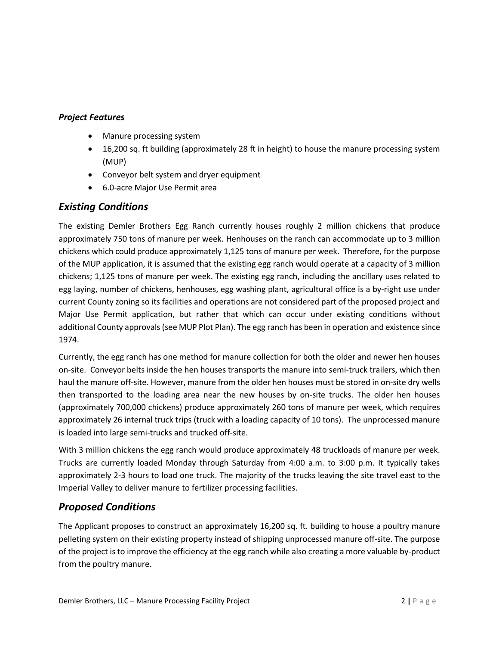## *Project Features*

- Manure processing system
- 16,200 sq. ft building (approximately 28 ft in height) to house the manure processing system (MUP)
- Conveyor belt system and dryer equipment
- 6.0-acre Major Use Permit area

## *Existing Conditions*

The existing Demler Brothers Egg Ranch currently houses roughly 2 million chickens that produce approximately 750 tons of manure per week. Henhouses on the ranch can accommodate up to 3 million chickens which could produce approximately 1,125 tons of manure per week. Therefore, for the purpose of the MUP application, it is assumed that the existing egg ranch would operate at a capacity of 3 million chickens; 1,125 tons of manure per week. The existing egg ranch, including the ancillary uses related to egg laying, number of chickens, henhouses, egg washing plant, agricultural office is a by-right use under current County zoning so its facilities and operations are not considered part of the proposed project and Major Use Permit application, but rather that which can occur under existing conditions without additional County approvals (see MUP Plot Plan). The egg ranch has been in operation and existence since 1974.

Currently, the egg ranch has one method for manure collection for both the older and newer hen houses on-site. Conveyor belts inside the hen houses transports the manure into semi-truck trailers, which then haul the manure off-site. However, manure from the older hen houses must be stored in on-site dry wells then transported to the loading area near the new houses by on-site trucks. The older hen houses (approximately 700,000 chickens) produce approximately 260 tons of manure per week, which requires approximately 26 internal truck trips (truck with a loading capacity of 10 tons). The unprocessed manure is loaded into large semi-trucks and trucked off-site.

With 3 million chickens the egg ranch would produce approximately 48 truckloads of manure per week. Trucks are currently loaded Monday through Saturday from 4:00 a.m. to 3:00 p.m. It typically takes approximately 2-3 hours to load one truck. The majority of the trucks leaving the site travel east to the Imperial Valley to deliver manure to fertilizer processing facilities.

## *Proposed Conditions*

The Applicant proposes to construct an approximately 16,200 sq. ft. building to house a poultry manure pelleting system on their existing property instead of shipping unprocessed manure off-site. The purpose of the project is to improve the efficiency at the egg ranch while also creating a more valuable by-product from the poultry manure.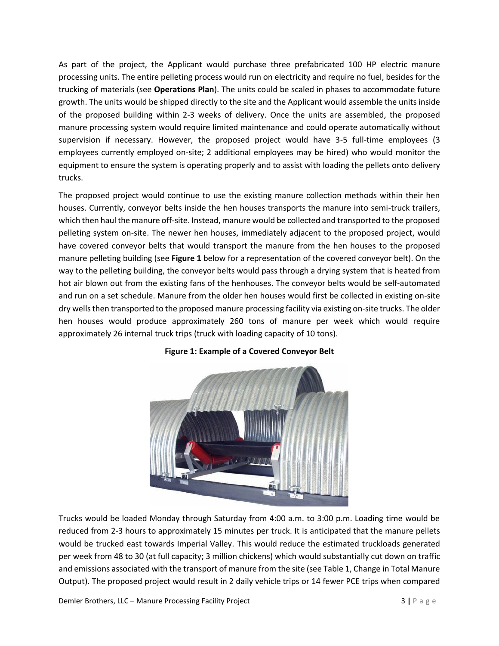As part of the project, the Applicant would purchase three prefabricated 100 HP electric manure processing units. The entire pelleting process would run on electricity and require no fuel, besides for the trucking of materials (see **Operations Plan**). The units could be scaled in phases to accommodate future growth. The units would be shipped directly to the site and the Applicant would assemble the units inside of the proposed building within 2-3 weeks of delivery. Once the units are assembled, the proposed manure processing system would require limited maintenance and could operate automatically without supervision if necessary. However, the proposed project would have 3-5 full-time employees (3 employees currently employed on-site; 2 additional employees may be hired) who would monitor the equipment to ensure the system is operating properly and to assist with loading the pellets onto delivery trucks.

The proposed project would continue to use the existing manure collection methods within their hen houses. Currently, conveyor belts inside the hen houses transports the manure into semi-truck trailers, which then haul the manure off-site. Instead, manure would be collected and transported to the proposed pelleting system on-site. The newer hen houses, immediately adjacent to the proposed project, would have covered conveyor belts that would transport the manure from the hen houses to the proposed manure pelleting building (see **Figure 1** below for a representation of the covered conveyor belt). On the way to the pelleting building, the conveyor belts would pass through a drying system that is heated from hot air blown out from the existing fans of the henhouses. The conveyor belts would be self-automated and run on a set schedule. Manure from the older hen houses would first be collected in existing on-site dry wells then transported to the proposed manure processing facility via existing on-site trucks. The older hen houses would produce approximately 260 tons of manure per week which would require approximately 26 internal truck trips (truck with loading capacity of 10 tons).



### **Figure 1: Example of a Covered Conveyor Belt**

Trucks would be loaded Monday through Saturday from 4:00 a.m. to 3:00 p.m. Loading time would be reduced from 2-3 hours to approximately 15 minutes per truck. It is anticipated that the manure pellets would be trucked east towards Imperial Valley. This would reduce the estimated truckloads generated per week from 48 to 30 (at full capacity; 3 million chickens) which would substantially cut down on traffic and emissions associated with the transport of manure from the site (see Table 1, Change in Total Manure Output). The proposed project would result in 2 daily vehicle trips or 14 fewer PCE trips when compared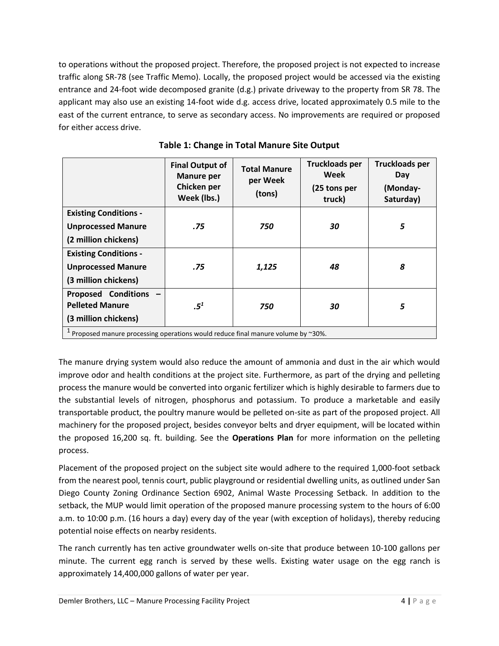to operations without the proposed project. Therefore, the proposed project is not expected to increase traffic along SR-78 (see Traffic Memo). Locally, the proposed project would be accessed via the existing entrance and 24-foot wide decomposed granite (d.g.) private driveway to the property from SR 78. The applicant may also use an existing 14-foot wide d.g. access drive, located approximately 0.5 mile to the east of the current entrance, to serve as secondary access. No improvements are required or proposed for either access drive.

|                                                                                 | <b>Final Output of</b><br><b>Manure per</b><br>Chicken per<br>Week (lbs.) | <b>Total Manure</b><br>per Week<br>(tons) | <b>Truckloads per</b><br>Week<br>(25 tons per<br>truck) | <b>Truckloads per</b><br>Day<br>(Monday-<br>Saturday) |
|---------------------------------------------------------------------------------|---------------------------------------------------------------------------|-------------------------------------------|---------------------------------------------------------|-------------------------------------------------------|
| <b>Existing Conditions -</b>                                                    |                                                                           |                                           |                                                         |                                                       |
| <b>Unprocessed Manure</b>                                                       | .75                                                                       | 750                                       | 30                                                      | 5                                                     |
| (2 million chickens)                                                            |                                                                           |                                           |                                                         |                                                       |
| <b>Existing Conditions -</b>                                                    |                                                                           |                                           |                                                         |                                                       |
| <b>Unprocessed Manure</b>                                                       | .75                                                                       | 1,125                                     | 48                                                      | 8                                                     |
| (3 million chickens)                                                            |                                                                           |                                           |                                                         |                                                       |
| <b>Proposed Conditions</b>                                                      |                                                                           |                                           |                                                         |                                                       |
| <b>Pelleted Manure</b>                                                          | .5 <sup>1</sup>                                                           | 750                                       | 30                                                      | 5                                                     |
| (3 million chickens)                                                            |                                                                           |                                           |                                                         |                                                       |
| Proposed manure processing operations would reduce final manure volume by ~30%. |                                                                           |                                           |                                                         |                                                       |

| Table 1: Change in Total Manure Site Output |  |  |
|---------------------------------------------|--|--|
|---------------------------------------------|--|--|

The manure drying system would also reduce the amount of ammonia and dust in the air which would improve odor and health conditions at the project site. Furthermore, as part of the drying and pelleting process the manure would be converted into organic fertilizer which is highly desirable to farmers due to the substantial levels of nitrogen, phosphorus and potassium. To produce a marketable and easily transportable product, the poultry manure would be pelleted on-site as part of the proposed project. All machinery for the proposed project, besides conveyor belts and dryer equipment, will be located within the proposed 16,200 sq. ft. building. See the **Operations Plan** for more information on the pelleting process.

Placement of the proposed project on the subject site would adhere to the required 1,000-foot setback from the nearest pool, tennis court, public playground or residential dwelling units, as outlined under San Diego County Zoning Ordinance Section 6902, Animal Waste Processing Setback. In addition to the setback, the MUP would limit operation of the proposed manure processing system to the hours of 6:00 a.m. to 10:00 p.m. (16 hours a day) every day of the year (with exception of holidays), thereby reducing potential noise effects on nearby residents.

The ranch currently has ten active groundwater wells on-site that produce between 10-100 gallons per minute. The current egg ranch is served by these wells. Existing water usage on the egg ranch is approximately 14,400,000 gallons of water per year.